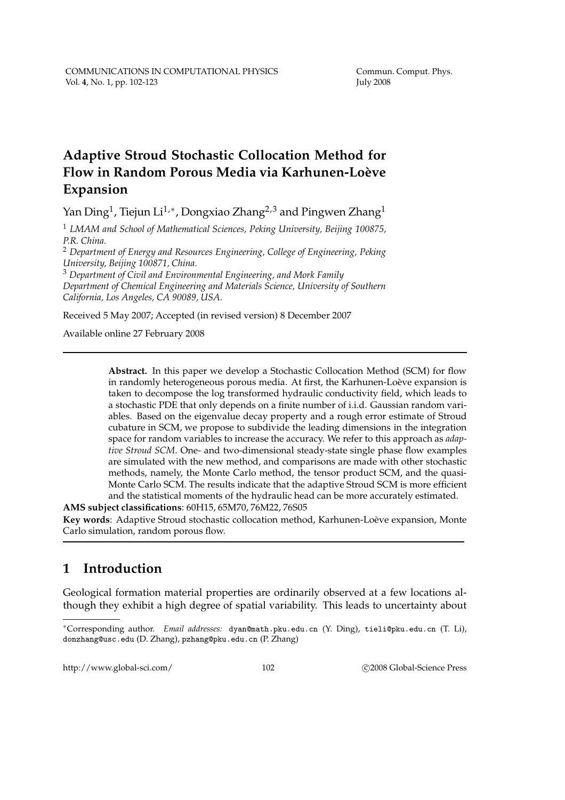# **Adaptive Stroud Stochastic Collocation Method for** Flow in Random Porous Media via Karhunen-Loève **Expansion**

Yan Ding $^1$ , Tiejun Li $^{1,\ast}$ , Dongxiao Zhang $^{2,3}$  and Pingwen Zhang $^1$ 

<sup>1</sup> *LMAM and School of Mathematical Sciences, Peking University, Beijing 100875, P.R. China.*

<sup>2</sup> *Department of Energy and Resources Engineering, College of Engineering, Peking University, Beijing 100871, China.*

<sup>3</sup> *Department of Civil and Environmental Engineering, and Mork Family Department of Chemical Engineering and Materials Science, University of Southern California, Los Angeles, CA 90089, USA.*

Received 5 May 2007; Accepted (in revised version) 8 December 2007

Available online 27 February 2008

**Abstract.** In this paper we develop a Stochastic Collocation Method (SCM) for flow in randomly heterogeneous porous media. At first, the Karhunen-Loève expansion is taken to decompose the log transformed hydraulic conductivity field, which leads to a stochastic PDE that only depends on a finite number of i.i.d. Gaussian random variables. Based on the eigenvalue decay property and a rough error estimate of Stroud cubature in SCM, we propose to subdivide the leading dimensions in the integration space for random variables to increase the accuracy. We refer to this approach as *adaptive Stroud SCM*. One- and two-dimensional steady-state single phase flow examples are simulated with the new method, and comparisons are made with other stochastic methods, namely, the Monte Carlo method, the tensor product SCM, and the quasi-Monte Carlo SCM. The results indicate that the adaptive Stroud SCM is more efficient and the statistical moments of the hydraulic head can be more accurately estimated.

**AMS subject classifications**: 60H15, 65M70, 76M22, 76S05 Key words: Adaptive Stroud stochastic collocation method, Karhunen-Loève expansion, Monte Carlo simulation, random porous flow.

# **1 Introduction**

Geological formation material properties are ordinarily observed at a few locations although they exhibit a high degree of spatial variability. This leads to uncertainty about

http://www.global-sci.com/ 102 c 2008 Global-Science Press

<sup>∗</sup>Corresponding author. *Email addresses:* dyan@math.pku.edu.cn (Y. Ding), tieli@pku.edu.cn (T. Li), donzhang@usc.edu (D. Zhang), pzhang@pku.edu.cn (P. Zhang)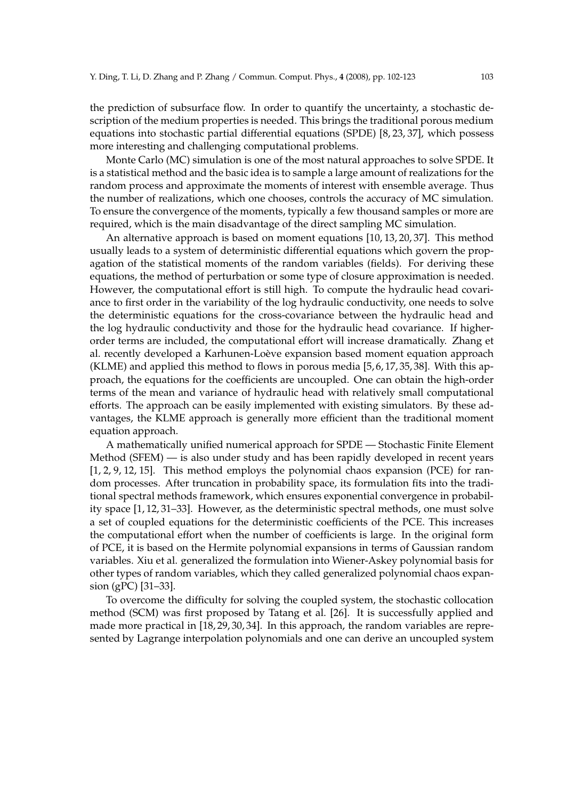the prediction of subsurface flow. In order to quantify the uncertainty, a stochastic description of the medium properties is needed. This brings the traditional porous medium equations into stochastic partial differential equations (SPDE) [8, 23, 37], which possess more interesting and challenging computational problems.

Monte Carlo (MC) simulation is one of the most natural approaches to solve SPDE. It is a statistical method and the basic idea is to sample a large amount of realizations for the random process and approximate the moments of interest with ensemble average. Thus the number of realizations, which one chooses, controls the accuracy of MC simulation. To ensure the convergence of the moments, typically a few thousand samples or more are required, which is the main disadvantage of the direct sampling MC simulation.

An alternative approach is based on moment equations [10, 13, 20, 37]. This method usually leads to a system of deterministic differential equations which govern the propagation of the statistical moments of the random variables (fields). For deriving these equations, the method of perturbation or some type of closure approximation is needed. However, the computational effort is still high. To compute the hydraulic head covariance to first order in the variability of the log hydraulic conductivity, one needs to solve the deterministic equations for the cross-covariance between the hydraulic head and the log hydraulic conductivity and those for the hydraulic head covariance. If higherorder terms are included, the computational effort will increase dramatically. Zhang et al. recently developed a Karhunen-Loève expansion based moment equation approach (KLME) and applied this method to flows in porous media [5, 6, 17, 35, 38]. With this approach, the equations for the coefficients are uncoupled. One can obtain the high-order terms of the mean and variance of hydraulic head with relatively small computational efforts. The approach can be easily implemented with existing simulators. By these advantages, the KLME approach is generally more efficient than the traditional moment equation approach.

A mathematically unified numerical approach for SPDE — Stochastic Finite Element Method (SFEM) — is also under study and has been rapidly developed in recent years [1, 2, 9, 12, 15]. This method employs the polynomial chaos expansion (PCE) for random processes. After truncation in probability space, its formulation fits into the traditional spectral methods framework, which ensures exponential convergence in probability space [1, 12, 31–33]. However, as the deterministic spectral methods, one must solve a set of coupled equations for the deterministic coefficients of the PCE. This increases the computational effort when the number of coefficients is large. In the original form of PCE, it is based on the Hermite polynomial expansions in terms of Gaussian random variables. Xiu et al. generalized the formulation into Wiener-Askey polynomial basis for other types of random variables, which they called generalized polynomial chaos expansion (gPC) [31–33].

To overcome the difficulty for solving the coupled system, the stochastic collocation method (SCM) was first proposed by Tatang et al. [26]. It is successfully applied and made more practical in [18, 29, 30, 34]. In this approach, the random variables are represented by Lagrange interpolation polynomials and one can derive an uncoupled system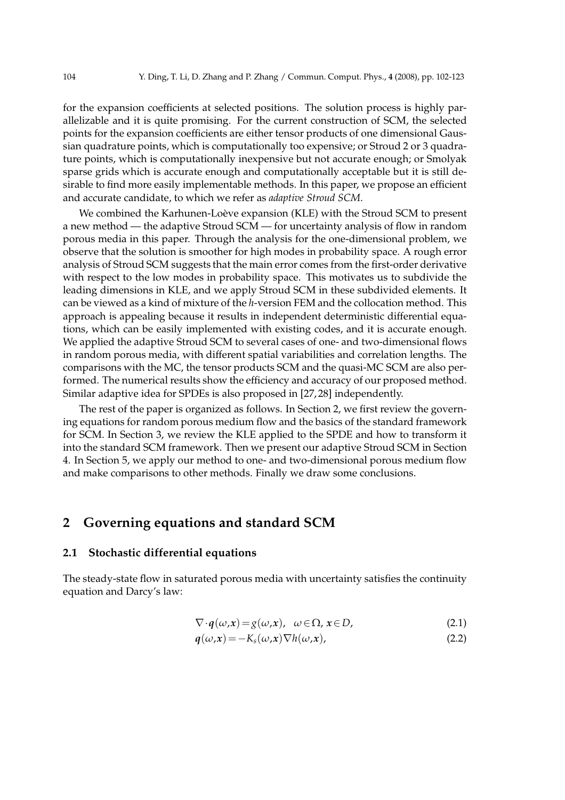for the expansion coefficients at selected positions. The solution process is highly parallelizable and it is quite promising. For the current construction of SCM, the selected points for the expansion coefficients are either tensor products of one dimensional Gaussian quadrature points, which is computationally too expensive; or Stroud 2 or 3 quadrature points, which is computationally inexpensive but not accurate enough; or Smolyak sparse grids which is accurate enough and computationally acceptable but it is still desirable to find more easily implementable methods. In this paper, we propose an efficient and accurate candidate, to which we refer as *adaptive Stroud SCM*.

We combined the Karhunen-Loève expansion (KLE) with the Stroud SCM to present a new method — the adaptive Stroud SCM — for uncertainty analysis of flow in random porous media in this paper. Through the analysis for the one-dimensional problem, we observe that the solution is smoother for high modes in probability space. A rough error analysis of Stroud SCM suggests that the main error comes from the first-order derivative with respect to the low modes in probability space. This motivates us to subdivide the leading dimensions in KLE, and we apply Stroud SCM in these subdivided elements. It can be viewed as a kind of mixture of the *h*-version FEM and the collocation method. This approach is appealing because it results in independent deterministic differential equations, which can be easily implemented with existing codes, and it is accurate enough. We applied the adaptive Stroud SCM to several cases of one- and two-dimensional flows in random porous media, with different spatial variabilities and correlation lengths. The comparisons with the MC, the tensor products SCM and the quasi-MC SCM are also performed. The numerical results show the efficiency and accuracy of our proposed method. Similar adaptive idea for SPDEs is also proposed in [27, 28] independently.

The rest of the paper is organized as follows. In Section 2, we first review the governing equations for random porous medium flow and the basics of the standard framework for SCM. In Section 3, we review the KLE applied to the SPDE and how to transform it into the standard SCM framework. Then we present our adaptive Stroud SCM in Section 4. In Section 5, we apply our method to one- and two-dimensional porous medium flow and make comparisons to other methods. Finally we draw some conclusions.

### **2 Governing equations and standard SCM**

#### **2.1 Stochastic differential equations**

The steady-state flow in saturated porous media with uncertainty satisfies the continuity equation and Darcy's law:

$$
\nabla \cdot \boldsymbol{q}(\omega, \boldsymbol{x}) = g(\omega, \boldsymbol{x}), \ \omega \in \Omega, \ \boldsymbol{x} \in D,
$$
 (2.1)

$$
q(\omega, x) = -K_s(\omega, x) \nabla h(\omega, x), \qquad (2.2)
$$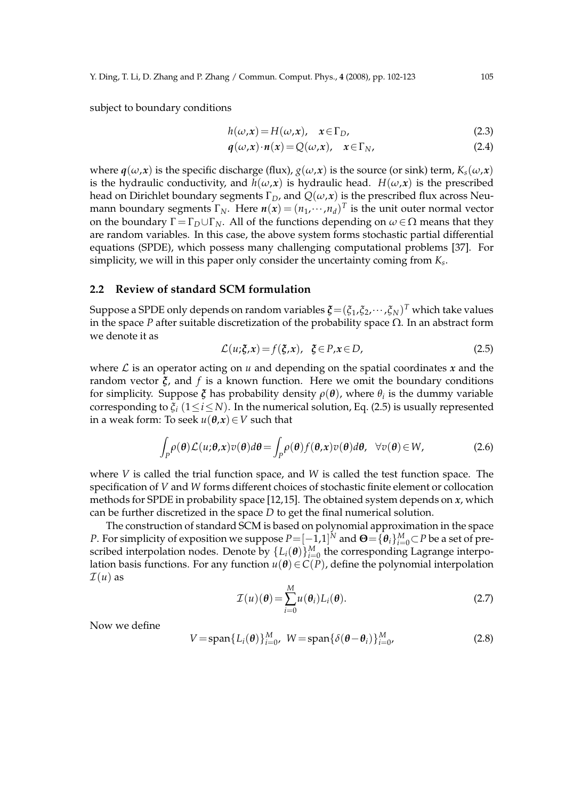subject to boundary conditions

$$
h(\omega, x) = H(\omega, x), \quad x \in \Gamma_D,
$$
\n(2.3)

$$
q(\omega, x) \cdot n(x) = Q(\omega, x), \quad x \in \Gamma_N,
$$
\n(2.4)

where  $q(\omega, x)$  is the specific discharge (flux),  $g(\omega, x)$  is the source (or sink) term,  $K_s(\omega, x)$ is the hydraulic conductivity, and  $h(\omega, x)$  is hydraulic head.  $H(\omega, x)$  is the prescribed head on Dirichlet boundary segments  $\Gamma_D$ , and  $Q(\omega, x)$  is the prescribed flux across Neumann boundary segments  $\Gamma_N$ . Here  $n(x) = (n_1, \dots, n_d)^T$  is the unit outer normal vector on the boundary  $\Gamma = \Gamma_D \cup \Gamma_N$ . All of the functions depending on  $\omega \in \Omega$  means that they are random variables. In this case, the above system forms stochastic partial differential equations (SPDE), which possess many challenging computational problems [37]. For simplicity, we will in this paper only consider the uncertainty coming from *K<sup>s</sup>* .

#### **2.2 Review of standard SCM formulation**

Suppose a SPDE only depends on random variables  $\boldsymbol{\xi} = (\xi_1, \xi_2, \cdots, \xi_N)^T$  which take values in the space *P* after suitable discretization of the probability space  $\Omega$ . In an abstract form we denote it as

$$
\mathcal{L}(u;\xi,x) = f(\xi,x), \quad \xi \in P, x \in D,
$$
\n(2.5)

where  $\mathcal L$  is an operator acting on  $u$  and depending on the spatial coordinates  $x$  and the random vector *ξ*, and *f* is a known function. Here we omit the boundary conditions for simplicity. Suppose *ξ* has probability density *ρ*(*θ*), where *θ<sup>i</sup>* is the dummy variable corresponding to  $\xi$ <sup>*i*</sup> (1 ≤ *i* ≤ *N*). In the numerical solution, Eq. (2.5) is usually represented in a weak form: To seek  $u(\theta, x) \in V$  such that

$$
\int_{P} \rho(\boldsymbol{\theta}) \mathcal{L}(u;\boldsymbol{\theta},\boldsymbol{x}) v(\boldsymbol{\theta}) d\boldsymbol{\theta} = \int_{P} \rho(\boldsymbol{\theta}) f(\boldsymbol{\theta},\boldsymbol{x}) v(\boldsymbol{\theta}) d\boldsymbol{\theta}, \quad \forall v(\boldsymbol{\theta}) \in W,
$$
\n(2.6)

where *V* is called the trial function space, and *W* is called the test function space. The specification of *V* and *W* forms different choices of stochastic finite element or collocation methods for SPDE in probability space [12,15]. The obtained system depends on *x*, which can be further discretized in the space *D* to get the final numerical solution.

The construction of standard SCM is based on polynomial approximation in the space *P*. For simplicity of exposition we suppose  $P = [-1,1]^N$  and  $\Theta = {\theta_i}_{i=0}^M$   $\subset P$  be a set of prescribed interpolation nodes. Denote by  $\{L_i(\theta)\}_{i=0}^M$  the corresponding Lagrange interpolation basis functions. For any function  $u(\theta) \in C(P)$ , define the polynomial interpolation  $\mathcal{I}(u)$  as

$$
\mathcal{I}(u)(\boldsymbol{\theta}) = \sum_{i=0}^{M} u(\boldsymbol{\theta}_i) L_i(\boldsymbol{\theta}).
$$
\n(2.7)

Now we define

$$
V = \text{span}\{L_i(\boldsymbol{\theta})\}_{i=0}^M, \ W = \text{span}\{\delta(\boldsymbol{\theta} - \boldsymbol{\theta}_i)\}_{i=0}^M,
$$
\n(2.8)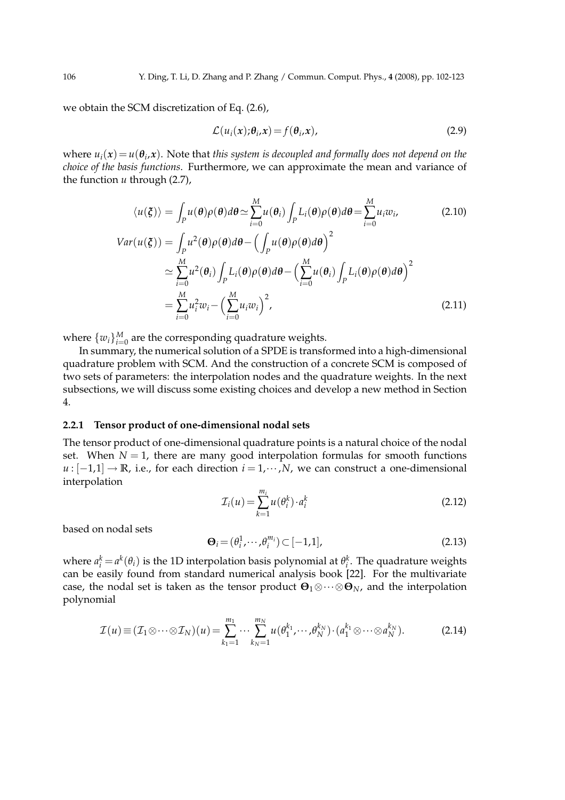we obtain the SCM discretization of Eq. (2.6),

$$
\mathcal{L}(u_i(\mathbf{x}); \theta_i, \mathbf{x}) = f(\theta_i, \mathbf{x}), \qquad (2.9)
$$

where  $u_i(x) = u(\theta_i, x)$ . Note that *this system is decoupled and formally does not depend on the choice of the basis functions*. Furthermore, we can approximate the mean and variance of the function *u* through (2.7),

$$
\langle u(\xi) \rangle = \int_{P} u(\theta) \rho(\theta) d\theta \simeq \sum_{i=0}^{M} u(\theta_{i}) \int_{P} L_{i}(\theta) \rho(\theta) d\theta = \sum_{i=0}^{M} u_{i}w_{i},
$$
\n
$$
Var(u(\xi)) = \int_{P} u^{2}(\theta) \rho(\theta) d\theta - \left(\int_{P} u(\theta) \rho(\theta) d\theta\right)^{2}
$$
\n
$$
\simeq \sum_{i=0}^{M} u^{2}(\theta_{i}) \int_{P} L_{i}(\theta) \rho(\theta) d\theta - \left(\sum_{i=0}^{M} u(\theta_{i}) \int_{P} L_{i}(\theta) \rho(\theta) d\theta\right)^{2}
$$
\n
$$
= \sum_{i=0}^{M} u_{i}^{2} w_{i} - \left(\sum_{i=0}^{M} u_{i} w_{i}\right)^{2},
$$
\n(2.11)

where  $\{w_i\}_{i=0}^M$  are the corresponding quadrature weights.

In summary, the numerical solution of a SPDE is transformed into a high-dimensional quadrature problem with SCM. And the construction of a concrete SCM is composed of two sets of parameters: the interpolation nodes and the quadrature weights. In the next subsections, we will discuss some existing choices and develop a new method in Section 4.

#### **2.2.1 Tensor product of one-dimensional nodal sets**

The tensor product of one-dimensional quadrature points is a natural choice of the nodal set. When  $N = 1$ , there are many good interpolation formulas for smooth functions *u* :  $[-1,1]$  → **R**, i.e., for each direction  $i = 1, \dots, N$ , we can construct a one-dimensional interpolation

$$
\mathcal{I}_i(u) = \sum_{k=1}^{m_i} u(\theta_i^k) \cdot a_i^k \tag{2.12}
$$

based on nodal sets

$$
\mathbf{\Theta}_i = (\theta_i^1, \cdots, \theta_i^{m_i}) \subset [-1, 1],\tag{2.13}
$$

where  $a_i^k = a^k(\theta_i)$  is the 1D interpolation basis polynomial at  $\theta_i^k$ . The quadrature weights can be easily found from standard numerical analysis book [22]. For the multivariate case, the nodal set is taken as the tensor product **<sup>Θ</sup>**1⊗···⊗**Θ***N*, and the interpolation polynomial

$$
\mathcal{I}(u) \equiv (\mathcal{I}_1 \otimes \cdots \otimes \mathcal{I}_N)(u) = \sum_{k_1=1}^{m_1} \cdots \sum_{k_N=1}^{m_N} u(\theta_1^{k_1}, \cdots, \theta_N^{k_N}) \cdot (a_1^{k_1} \otimes \cdots \otimes a_N^{k_N}). \tag{2.14}
$$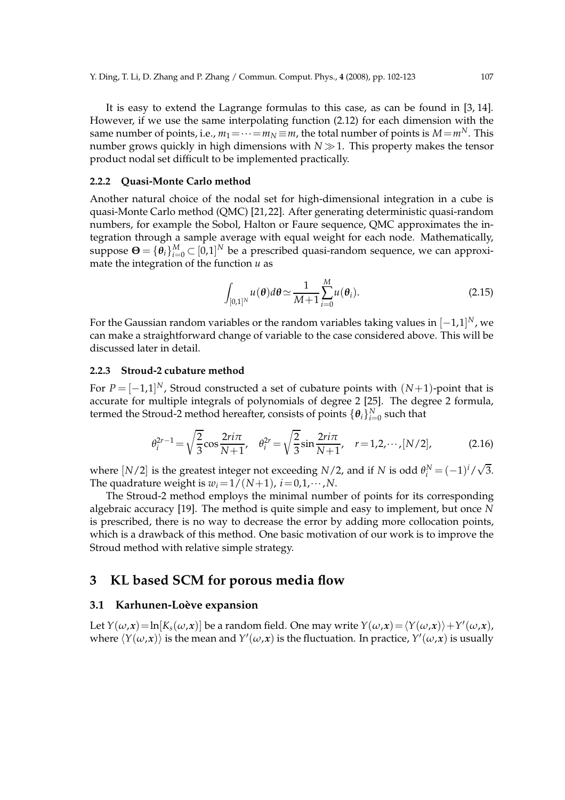It is easy to extend the Lagrange formulas to this case, as can be found in [3, 14]. However, if we use the same interpolating function (2.12) for each dimension with the same number of points, i.e.,  $m_1 = \cdots = m_N \equiv m$ , the total number of points is  $M = m^N$ . This number grows quickly in high dimensions with  $N \gg 1$ . This property makes the tensor product nodal set difficult to be implemented practically.

#### **2.2.2 Quasi-Monte Carlo method**

Another natural choice of the nodal set for high-dimensional integration in a cube is quasi-Monte Carlo method (QMC) [21, 22]. After generating deterministic quasi-random numbers, for example the Sobol, Halton or Faure sequence, QMC approximates the integration through a sample average with equal weight for each node. Mathematically, suppose  $\mathbf{\Theta} = \{\hat{\theta}_i\}_{i=0}^M \subset [0,1]^N$  be a prescribed quasi-random sequence, we can approximate the integration of the function *u* as

$$
\int_{[0,1]^N} u(\boldsymbol{\theta}) d\boldsymbol{\theta} \simeq \frac{1}{M+1} \sum_{i=0}^M u(\boldsymbol{\theta}_i).
$$
\n(2.15)

For the Gaussian random variables or the random variables taking values in  $[-1,1]^N$ , we can make a straightforward change of variable to the case considered above. This will be discussed later in detail.

#### **2.2.3 Stroud-2 cubature method**

For  $P = [-1,1]^N$ , Stroud constructed a set of cubature points with  $(N+1)$ -point that is accurate for multiple integrals of polynomials of degree 2 [25]. The degree 2 formula, termed the Stroud-2 method hereafter, consists of points  $\{\boldsymbol{\theta}_i\}_{i=0}^N$  such that

$$
\theta_i^{2r-1} = \sqrt{\frac{2}{3}} \cos \frac{2r i \pi}{N+1}, \quad \theta_i^{2r} = \sqrt{\frac{2}{3}} \sin \frac{2r i \pi}{N+1}, \quad r = 1, 2, \cdots, [N/2],
$$
 (2.16)

where  $[N/2]$  is the greatest integer not exceeding  $N/2$ , and if  $N$  is odd  $\theta_i^N = (-1)^i / \sqrt{3}$ . The quadrature weight is  $w_i = 1/(N+1)$ ,  $i = 0, 1, \cdots, N$ .

The Stroud-2 method employs the minimal number of points for its corresponding algebraic accuracy [19]. The method is quite simple and easy to implement, but once *N* is prescribed, there is no way to decrease the error by adding more collocation points, which is a drawback of this method. One basic motivation of our work is to improve the Stroud method with relative simple strategy.

### **3 KL based SCM for porous media flow**

#### **3.1 Karhunen-Loève expansion**

Let  $Y(\omega,\mathbf{x}) = \ln[K_s(\omega,\mathbf{x})]$  be a random field. One may write  $Y(\omega,\mathbf{x}) = \langle Y(\omega,\mathbf{x}) \rangle + Y'(\omega,\mathbf{x})$ , where  $\langle Y(\omega,x) \rangle$  is the mean and  $Y'(\omega,x)$  is the fluctuation. In practice,  $Y'(\omega,x)$  is usually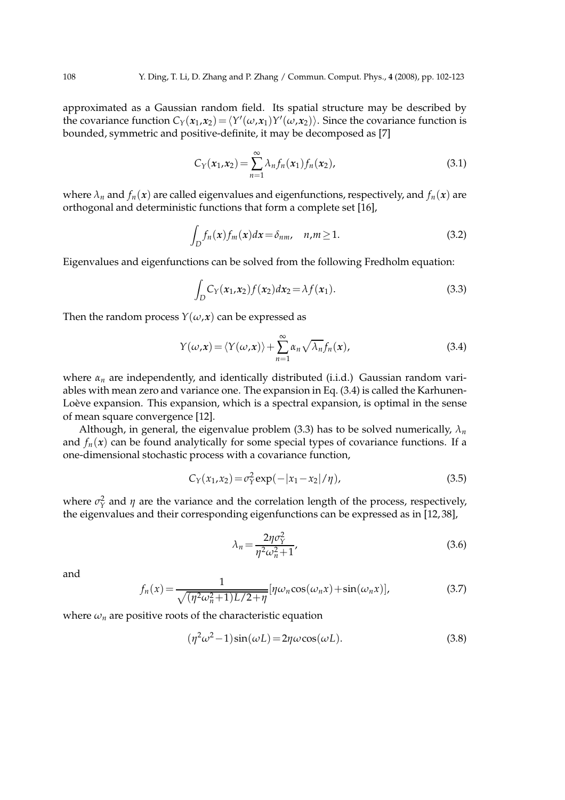approximated as a Gaussian random field. Its spatial structure may be described by the covariance function  $C_Y(x_1, x_2) = \langle Y'(\omega, x_1) Y'(\omega, x_2) \rangle$ . Since the covariance function is bounded, symmetric and positive-definite, it may be decomposed as [7]

$$
C_Y(x_1,x_2) = \sum_{n=1}^{\infty} \lambda_n f_n(x_1) f_n(x_2), \qquad (3.1)
$$

where  $\lambda_n$  and  $f_n(x)$  are called eigenvalues and eigenfunctions, respectively, and  $f_n(x)$  are orthogonal and deterministic functions that form a complete set [16],

$$
\int_{D} f_n(x) f_m(x) dx = \delta_{nm}, \quad n, m \ge 1.
$$
\n(3.2)

Eigenvalues and eigenfunctions can be solved from the following Fredholm equation:

$$
\int_{D} C_{Y}(x_{1}, x_{2}) f(x_{2}) dx_{2} = \lambda f(x_{1}).
$$
\n(3.3)

Then the random process  $Y(\omega, x)$  can be expressed as

$$
Y(\omega,\mathbf{x}) = \langle Y(\omega,\mathbf{x}) \rangle + \sum_{n=1}^{\infty} \alpha_n \sqrt{\lambda_n} f_n(\mathbf{x}), \qquad (3.4)
$$

where *α<sup>n</sup>* are independently, and identically distributed (i.i.d.) Gaussian random variables with mean zero and variance one. The expansion in Eq. (3.4) is called the Karhunen-Loève expansion. This expansion, which is a spectral expansion, is optimal in the sense of mean square convergence [12].

Although, in general, the eigenvalue problem (3.3) has to be solved numerically,  $\lambda_n$ and  $f_n(x)$  can be found analytically for some special types of covariance functions. If a one-dimensional stochastic process with a covariance function,

$$
C_Y(x_1, x_2) = \sigma_Y^2 \exp(-|x_1 - x_2|/\eta), \tag{3.5}
$$

where  $\sigma_Y^2$  and  $\eta$  are the variance and the correlation length of the process, respectively, the eigenvalues and their corresponding eigenfunctions can be expressed as in [12, 38],

$$
\lambda_n = \frac{2\eta \sigma_Y^2}{\eta^2 \omega_n^2 + 1},\tag{3.6}
$$

and

$$
f_n(x) = \frac{1}{\sqrt{(\eta^2 \omega_n^2 + 1)L/2 + \eta}} [\eta \omega_n \cos(\omega_n x) + \sin(\omega_n x)],
$$
\n(3.7)

where  $\omega_n$  are positive roots of the characteristic equation

$$
(\eta^2 \omega^2 - 1) \sin(\omega L) = 2\eta \omega \cos(\omega L). \tag{3.8}
$$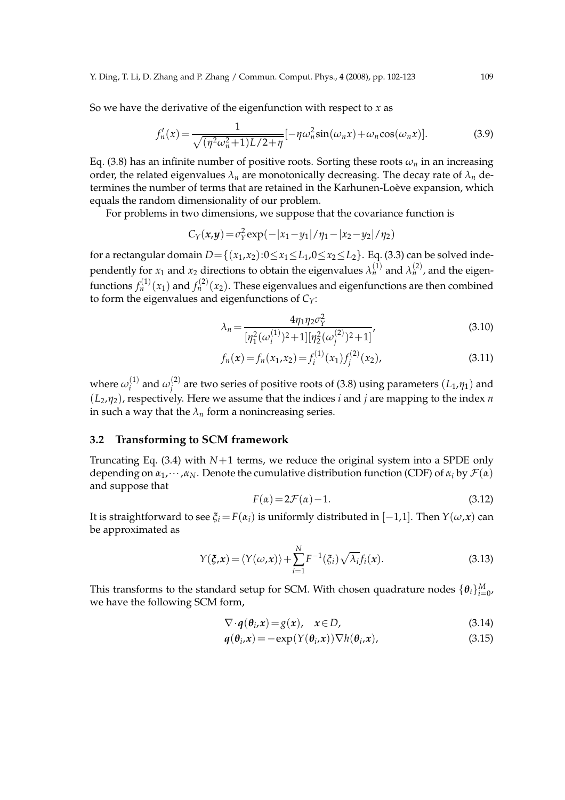So we have the derivative of the eigenfunction with respect to *x* as

$$
f'_n(x) = \frac{1}{\sqrt{(\eta^2 \omega_n^2 + 1)L/2 + \eta}} [-\eta \omega_n^2 \sin(\omega_n x) + \omega_n \cos(\omega_n x)].
$$
 (3.9)

Eq. (3.8) has an infinite number of positive roots. Sorting these roots  $\omega_n$  in an increasing order, the related eigenvalues  $\lambda_n$  are monotonically decreasing. The decay rate of  $\lambda_n$  determines the number of terms that are retained in the Karhunen-Loève expansion, which equals the random dimensionality of our problem.

For problems in two dimensions, we suppose that the covariance function is

$$
C_Y(x,y) = \sigma_Y^2 \exp(-|x_1 - y_1|/\eta_1 - |x_2 - y_2|/\eta_2)
$$

for a rectangular domain  $D = \{(x_1, x_2): 0 \le x_1 \le L_1, 0 \le x_2 \le L_2\}$ . Eq. (3.3) can be solved independently for  $x_1$  and  $x_2$  directions to obtain the eigenvalues  $\lambda_n^{(1)}$  and  $\lambda_n^{(2)}$ , and the eigenfunctions  $f_n^{(1)}(x_1)$  and  $f_n^{(2)}(x_2)$ . These eigenvalues and eigenfunctions are then combined to form the eigenvalues and eigenfunctions of *CY*:

$$
\lambda_n = \frac{4\eta_1 \eta_2 \sigma_Y^2}{[\eta_1^2(\omega_i^{(1)})^2 + 1][\eta_2^2(\omega_j^{(2)})^2 + 1]},
$$
\n(3.10)

$$
f_n(x) = f_n(x_1, x_2) = f_i^{(1)}(x_1) f_j^{(2)}(x_2),
$$
\n(3.11)

where  $\omega_i^{(1)}$  $\omega_j^{(1)}$  and  $\omega_j^{(2)}$  $j_f^{(2)}$  are two series of positive roots of (3.8) using parameters  $(L_1, \eta_1)$  and (*L*2,*η*2), respectively. Here we assume that the indices *i* and *j* are mapping to the index *n* in such a way that the  $\lambda_n$  form a nonincreasing series.

#### **3.2 Transforming to SCM framework**

Truncating Eq.  $(3.4)$  with  $N+1$  terms, we reduce the original system into a SPDE only depending on  $\alpha_1, \dots, \alpha_N$ . Denote the cumulative distribution function (CDF) of  $\alpha_i$  by  $\mathcal{F}(\alpha)$ and suppose that

$$
F(\alpha) = 2\mathcal{F}(\alpha) - 1.
$$
\n(3.12)

It is straightforward to see  $\xi_i = F(\alpha_i)$  is uniformly distributed in [−1,1]. Then  $Y(\omega, x)$  can be approximated as

$$
Y(\xi, x) = \langle Y(\omega, x) \rangle + \sum_{i=1}^{N} F^{-1}(\xi_i) \sqrt{\lambda_i} f_i(x).
$$
 (3.13)

This transforms to the standard setup for SCM. With chosen quadrature nodes  $\{\theta_i\}_{i=0}^M$ , we have the following SCM form,

$$
\nabla \cdot \boldsymbol{q}(\boldsymbol{\theta}_i, \boldsymbol{x}) = g(\boldsymbol{x}), \quad \boldsymbol{x} \in D,
$$
\n(3.14)

$$
q(\theta_i, x) = -\exp(Y(\theta_i, x)) \nabla h(\theta_i, x), \qquad (3.15)
$$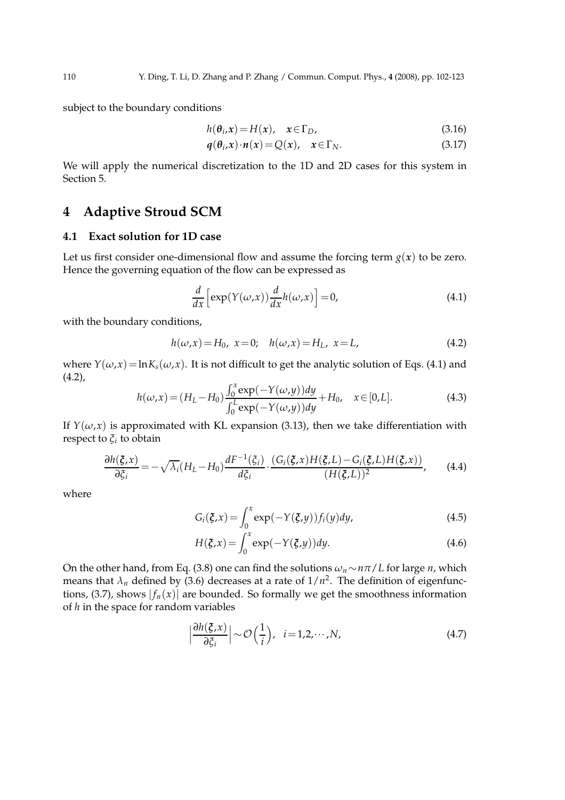subject to the boundary conditions

$$
h(\theta_i, x) = H(x), \quad x \in \Gamma_D,
$$
\n(3.16)

$$
q(\theta_i, x) \cdot n(x) = Q(x), \quad x \in \Gamma_N. \tag{3.17}
$$

We will apply the numerical discretization to the 1D and 2D cases for this system in Section 5.

### **4 Adaptive Stroud SCM**

#### **4.1 Exact solution for 1D case**

Let us first consider one-dimensional flow and assume the forcing term  $g(x)$  to be zero. Hence the governing equation of the flow can be expressed as

$$
\frac{d}{dx}\left[\exp(Y(\omega,x))\frac{d}{dx}h(\omega,x)\right] = 0,\tag{4.1}
$$

with the boundary conditions,

$$
h(\omega, x) = H_0, \ x = 0; \quad h(\omega, x) = H_L, \ x = L,
$$
\n(4.2)

where  $Y(\omega, x) = \ln K_s(\omega, x)$ . It is not difficult to get the analytic solution of Eqs. (4.1) and  $(4.2)$ ,

$$
h(\omega, x) = (H_L - H_0) \frac{\int_0^x \exp(-Y(\omega, y)) dy}{\int_0^L \exp(-Y(\omega, y)) dy} + H_0, \quad x \in [0, L].
$$
 (4.3)

If  $Y(\omega, x)$  is approximated with KL expansion (3.13), then we take differentiation with respect to *ξ<sup>i</sup>* to obtain

$$
\frac{\partial h(\xi, x)}{\partial \xi_i} = -\sqrt{\lambda_i} (H_L - H_0) \frac{dF^{-1}(\xi_i)}{d\xi_i} \cdot \frac{(G_i(\xi, x)H(\xi, L) - G_i(\xi, L)H(\xi, x))}{(H(\xi, L))^2},
$$
(4.4)

where

$$
G_i(\xi, x) = \int_0^x \exp(-Y(\xi, y)) f_i(y) dy,
$$
\n(4.5)

$$
H(\xi, x) = \int_0^x \exp(-Y(\xi, y)) dy.
$$
 (4.6)

On the other hand, from Eq. (3.8) one can find the solutions  $\omega_n \sim n\pi/L$  for large *n*, which means that  $\lambda_n$  defined by (3.6) decreases at a rate of  $1/n^2$ . The definition of eigenfunctions, (3.7), shows  $|f_n(x)|$  are bounded. So formally we get the smoothness information of *h* in the space for random variables

$$
\left|\frac{\partial h(\xi, x)}{\partial \xi_i}\right| \sim \mathcal{O}\left(\frac{1}{i}\right), \quad i = 1, 2, \cdots, N,\tag{4.7}
$$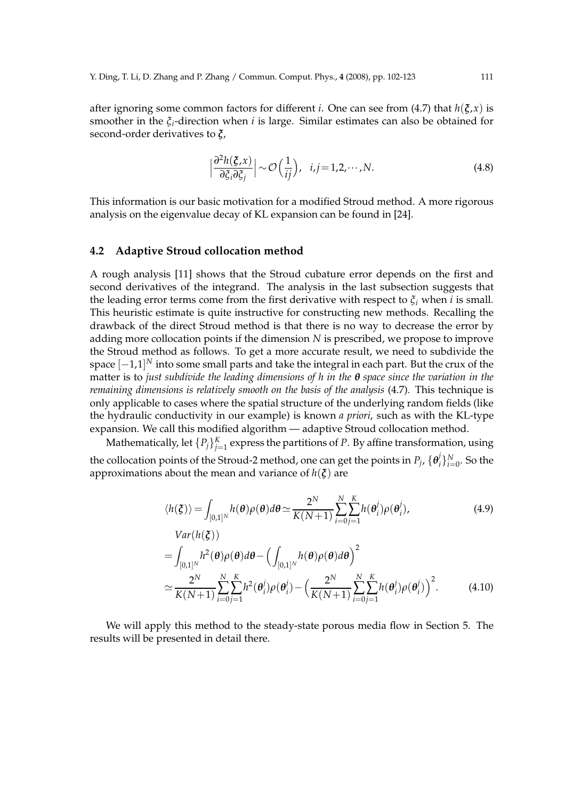after ignoring some common factors for different *i*. One can see from (4.7) that *h*(*ξ*,*x*) is smoother in the *ξ*<sub>*i*</sub>-direction when *i* is large. Similar estimates can also be obtained for second-order derivatives to *ξ*,

$$
\left|\frac{\partial^2 h(\xi, x)}{\partial \xi_i \partial \xi_j}\right| \sim \mathcal{O}\left(\frac{1}{ij}\right), \quad i, j = 1, 2, \cdots, N. \tag{4.8}
$$

This information is our basic motivation for a modified Stroud method. A more rigorous analysis on the eigenvalue decay of KL expansion can be found in [24].

#### **4.2 Adaptive Stroud collocation method**

A rough analysis [11] shows that the Stroud cubature error depends on the first and second derivatives of the integrand. The analysis in the last subsection suggests that the leading error terms come from the first derivative with respect to  $\xi$ <sup>*i*</sup> when *i* is small. This heuristic estimate is quite instructive for constructing new methods. Recalling the drawback of the direct Stroud method is that there is no way to decrease the error by adding more collocation points if the dimension *N* is prescribed, we propose to improve the Stroud method as follows. To get a more accurate result, we need to subdivide the space [−1,1] *<sup>N</sup>* into some small parts and take the integral in each part. But the crux of the matter is to *just subdivide the leading dimensions of h in the θ space since the variation in the remaining dimensions is relatively smooth on the basis of the analysis* (4.7)*.* This technique is only applicable to cases where the spatial structure of the underlying random fields (like the hydraulic conductivity in our example) is known *a priori*, such as with the KL-type expansion. We call this modified algorithm — adaptive Stroud collocation method.

Mathematically, let  $\{P_j\}_{j=1}^K$  express the partitions of  $P$ . By affine transformation, using the collocation points of the Stroud-2 method, one can get the points in  $P_j$ ,  $\{\theta_i^j\}$  $\{G_i\}_{i=0}^N$ . So the approximations about the mean and variance of *h*(*ξ*) are

$$
\langle h(\xi) \rangle = \int_{[0,1]^N} h(\theta) \rho(\theta) d\theta \simeq \frac{2^N}{K(N+1)} \sum_{i=0}^N \sum_{j=1}^K h(\theta_i^j) \rho(\theta_i^j),
$$
\n(4.9)\n
$$
Var(h(\xi))
$$

$$
= \int_{[0,1]^N} h^2(\boldsymbol{\theta}) \rho(\boldsymbol{\theta}) d\boldsymbol{\theta} - \left( \int_{[0,1]^N} h(\boldsymbol{\theta}) \rho(\boldsymbol{\theta}) d\boldsymbol{\theta} \right)^2
$$
  

$$
\simeq \frac{2^N}{K(N+1)} \sum_{i=0}^N \sum_{j=1}^K h^2(\boldsymbol{\theta}_i^j) \rho(\boldsymbol{\theta}_i^j) - \left( \frac{2^N}{K(N+1)} \sum_{i=0}^N \sum_{j=1}^K h(\boldsymbol{\theta}_i^j) \rho(\boldsymbol{\theta}_i^j) \right)^2.
$$
 (4.10)

We will apply this method to the steady-state porous media flow in Section 5. The results will be presented in detail there.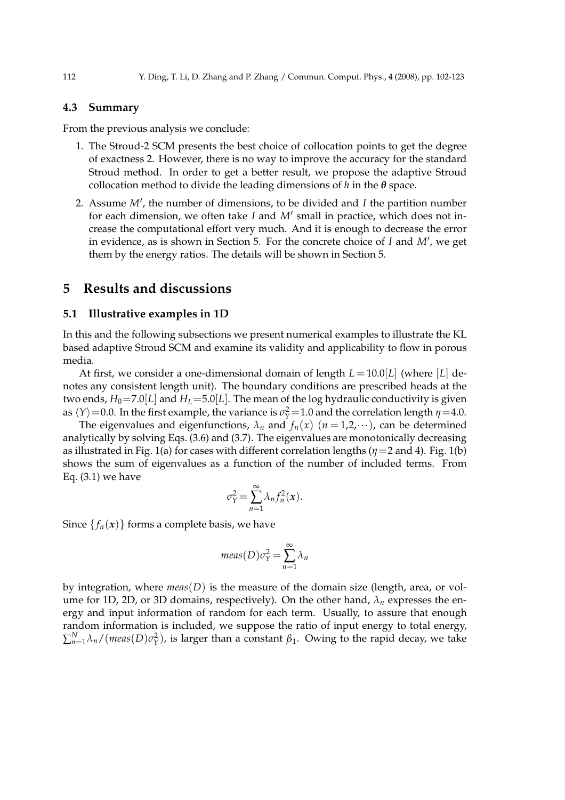#### **4.3 Summary**

From the previous analysis we conclude:

- 1. The Stroud-2 SCM presents the best choice of collocation points to get the degree of exactness 2. However, there is no way to improve the accuracy for the standard Stroud method. In order to get a better result, we propose the adaptive Stroud collocation method to divide the leading dimensions of *h* in the *θ* space.
- 2. Assume *M*′ , the number of dimensions, to be divided and *I* the partition number for each dimension, we often take *I* and *M*′ small in practice, which does not increase the computational effort very much. And it is enough to decrease the error in evidence, as is shown in Section 5. For the concrete choice of *I* and *M*′ , we get them by the energy ratios. The details will be shown in Section 5.

### **5 Results and discussions**

#### **5.1 Illustrative examples in 1D**

In this and the following subsections we present numerical examples to illustrate the KL based adaptive Stroud SCM and examine its validity and applicability to flow in porous media.

At first, we consider a one-dimensional domain of length  $L = 10.0|L|$  (where [L] denotes any consistent length unit). The boundary conditions are prescribed heads at the two ends,  $H_0$ =7.0[*L*] and  $H_L$ =5.0[*L*]. The mean of the log hydraulic conductivity is given as  $\langle Y \rangle$  =0.0. In the first example, the variance is  $\sigma_Y^2$  =1.0 and the correlation length *η*=4.0.

The eigenvalues and eigenfunctions,  $\lambda_n$  and  $f_n(x)$   $(n = 1, 2, \dots)$ , can be determined analytically by solving Eqs. (3.6) and (3.7). The eigenvalues are monotonically decreasing as illustrated in Fig. 1(a) for cases with different correlation lengths (*η*=2 and 4). Fig. 1(b) shows the sum of eigenvalues as a function of the number of included terms. From Eq. (3.1) we have

$$
\sigma_Y^2 = \sum_{n=1}^{\infty} \lambda_n f_n^2(x).
$$

Since  $\{f_n(x)\}\$ forms a complete basis, we have

$$
meas(D)\sigma_Y^2 = \sum_{n=1}^{\infty} \lambda_n
$$

by integration, where  $meas(D)$  is the measure of the domain size (length, area, or volume for 1D, 2D, or 3D domains, respectively). On the other hand,  $\lambda_n$  expresses the energy and input information of random for each term. Usually, to assure that enough random information is included, we suppose the ratio of input energy to total energy,  $\sum_{n=1}^{N}$ λ<sub>n</sub>/(meas(D) $\sigma_{Y}^{2}$ ), is larger than a constant  $\beta_{1}$ . Owing to the rapid decay, we take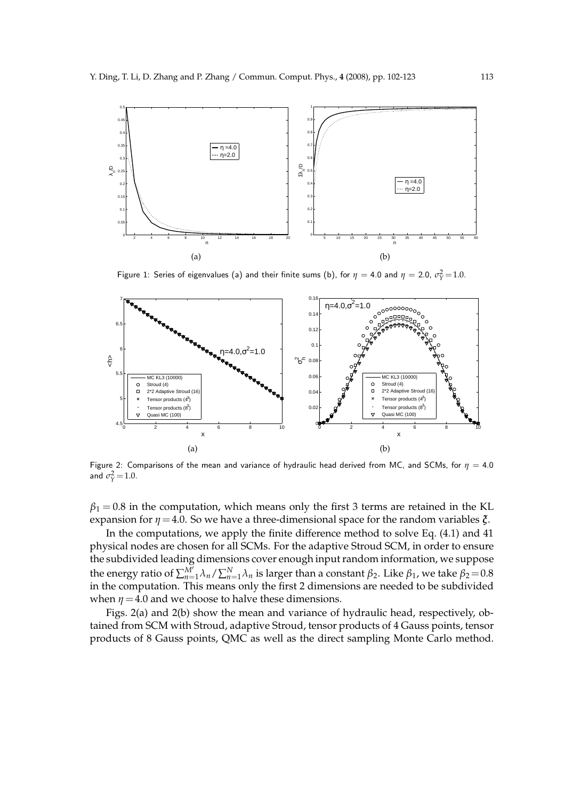

Figure 1: Series of eigenvalues (a) and their finite sums (b), for  $\eta =$  4.0 and  $\eta =$  2.0,  $\sigma_Y^2$ =1.0.



Figure 2: Comparisons of the mean and variance of hydraulic head derived from MC, and SCMs, for  $\eta = 4.0$ and  $\sigma_Y^2 = 1.0$ .

 $\beta_1$  = 0.8 in the computation, which means only the first 3 terms are retained in the KL expansion for  $\eta$  = 4.0. So we have a three-dimensional space for the random variables  $\xi$ .

In the computations, we apply the finite difference method to solve Eq. (4.1) and 41 physical nodes are chosen for all SCMs. For the adaptive Stroud SCM, in order to ensure the subdivided leading dimensions cover enough input random information, we suppose the energy ratio of  $\sum_{n=1}^{M'} \lambda_n / \sum_{n=1}^{N} \lambda_n$  is larger than a constant  $β_2$ . Like  $β_1$ , we take  $β_2$ =0.8 in the computation. This means only the first 2 dimensions are needed to be subdivided when  $\eta$  = 4.0 and we choose to halve these dimensions.

Figs. 2(a) and 2(b) show the mean and variance of hydraulic head, respectively, obtained from SCM with Stroud, adaptive Stroud, tensor products of 4 Gauss points, tensor products of 8 Gauss points, QMC as well as the direct sampling Monte Carlo method.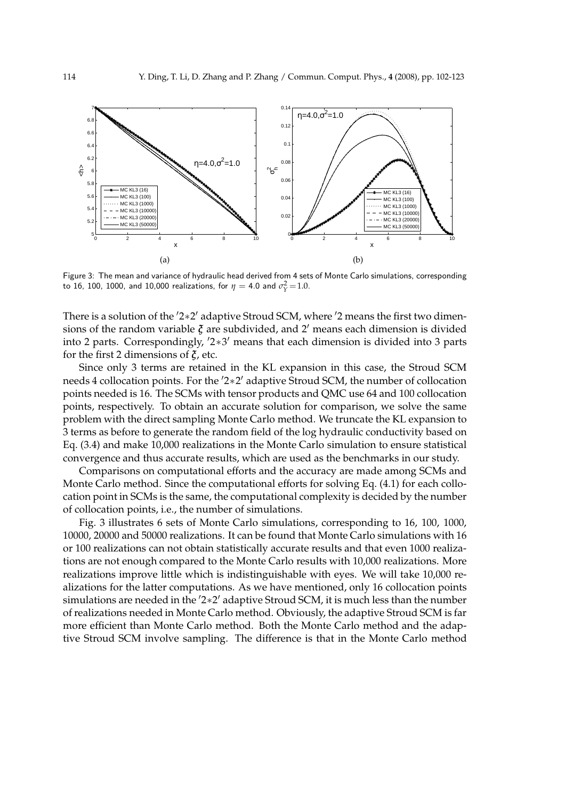

Figure 3: The mean and variance of hydraulic head derived from 4 sets of Monte Carlo simulations, corresponding to 16, 100, 1000, and 10,000 realizations, for  $\eta=$  4.0 and  $\sigma_{\rm Y}^2$   $\!=$  1.0.

There is a solution of the '2<sup>\*</sup>2' adaptive Stroud SCM, where '2 means the first two dimensions of the random variable *ξ* are subdivided, and 2′ means each dimension is divided into 2 parts. Correspondingly, ′2∗3 ′ means that each dimension is divided into 3 parts for the first 2 dimensions of *ξ*, etc.

Since only 3 terms are retained in the KL expansion in this case, the Stroud SCM needs 4 collocation points. For the '2\*2' adaptive Stroud SCM, the number of collocation points needed is 16. The SCMs with tensor products and QMC use 64 and 100 collocation points, respectively. To obtain an accurate solution for comparison, we solve the same problem with the direct sampling Monte Carlo method. We truncate the KL expansion to 3 terms as before to generate the random field of the log hydraulic conductivity based on Eq. (3.4) and make 10,000 realizations in the Monte Carlo simulation to ensure statistical convergence and thus accurate results, which are used as the benchmarks in our study.

Comparisons on computational efforts and the accuracy are made among SCMs and Monte Carlo method. Since the computational efforts for solving Eq. (4.1) for each collocation point in SCMs is the same, the computational complexity is decided by the number of collocation points, i.e., the number of simulations.

Fig. 3 illustrates 6 sets of Monte Carlo simulations, corresponding to 16, 100, 1000, 10000, 20000 and 50000 realizations. It can be found that Monte Carlo simulations with 16 or 100 realizations can not obtain statistically accurate results and that even 1000 realizations are not enough compared to the Monte Carlo results with 10,000 realizations. More realizations improve little which is indistinguishable with eyes. We will take 10,000 realizations for the latter computations. As we have mentioned, only 16 collocation points simulations are needed in the ′2∗2 ′ adaptive Stroud SCM, it is much less than the number of realizations needed in Monte Carlo method. Obviously, the adaptive Stroud SCM is far more efficient than Monte Carlo method. Both the Monte Carlo method and the adaptive Stroud SCM involve sampling. The difference is that in the Monte Carlo method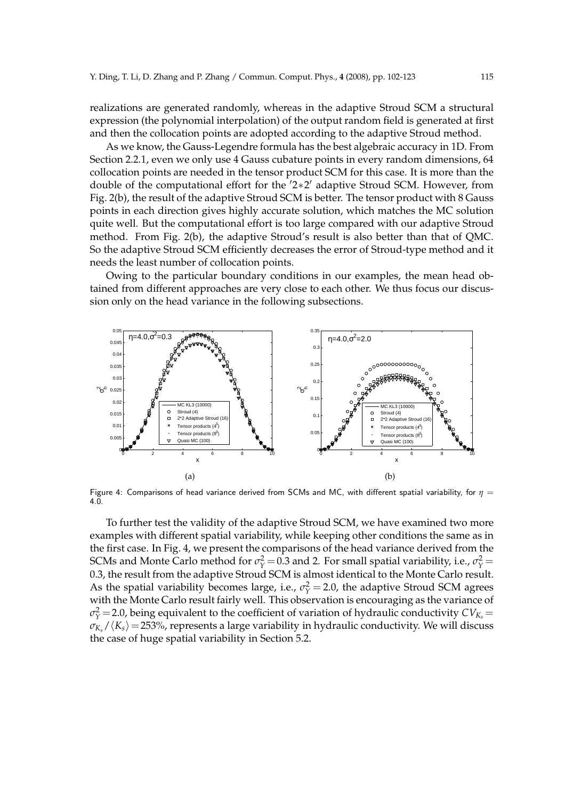realizations are generated randomly, whereas in the adaptive Stroud SCM a structural expression (the polynomial interpolation) of the output random field is generated at first and then the collocation points are adopted according to the adaptive Stroud method.

As we know, the Gauss-Legendre formula has the best algebraic accuracy in 1D. From Section 2.2.1, even we only use 4 Gauss cubature points in every random dimensions, 64 collocation points are needed in the tensor product SCM for this case. It is more than the double of the computational effort for the ′2∗2 ′ adaptive Stroud SCM. However, from Fig. 2(b), the result of the adaptive Stroud SCM is better. The tensor product with 8 Gauss points in each direction gives highly accurate solution, which matches the MC solution quite well. But the computational effort is too large compared with our adaptive Stroud method. From Fig. 2(b), the adaptive Stroud's result is also better than that of QMC. So the adaptive Stroud SCM efficiently decreases the error of Stroud-type method and it needs the least number of collocation points.

Owing to the particular boundary conditions in our examples, the mean head obtained from different approaches are very close to each other. We thus focus our discussion only on the head variance in the following subsections.



Figure 4: Comparisons of head variance derived from SCMs and MC, with different spatial variability, for *η* = 4.0.

To further test the validity of the adaptive Stroud SCM, we have examined two more examples with different spatial variability, while keeping other conditions the same as in the first case. In Fig. 4, we present the comparisons of the head variance derived from the SCMs and Monte Carlo method for  $\sigma_Y^2 = 0.3$  and 2. For small spatial variability, i.e.,  $\sigma_Y^2 =$ 0.3, the result from the adaptive Stroud SCM is almost identical to the Monte Carlo result. As the spatial variability becomes large, i.e.,  $\sigma_Y^2 = 2.0$ , the adaptive Stroud SCM agrees with the Monte Carlo result fairly well. This observation is encouraging as the variance of  $\sigma_Y^2$  = 2.0, being equivalent to the coefficient of variation of hydraulic conductivity  $CV_{K_s}$  =  $\sigma_{K_s}/\langle K_s \rangle$  = 253%, represents a large variability in hydraulic conductivity. We will discuss the case of huge spatial variability in Section 5.2.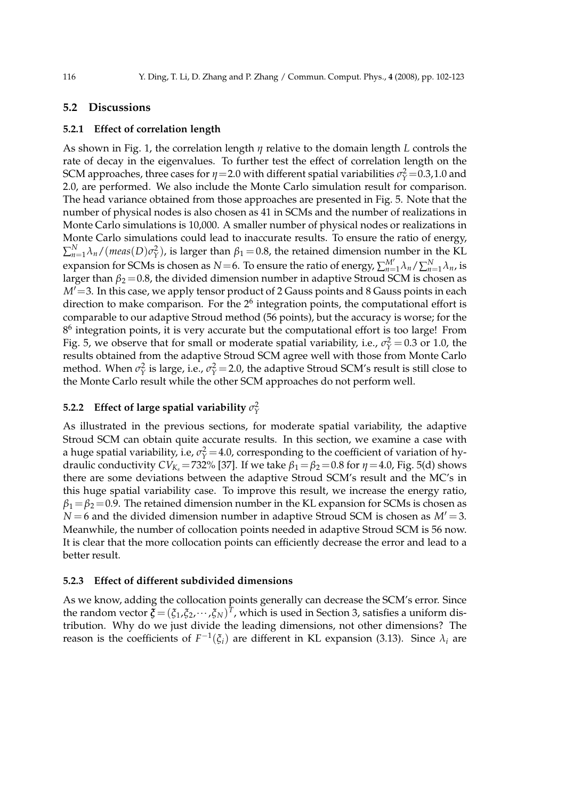#### **5.2 Discussions**

#### **5.2.1 Effect of correlation length**

As shown in Fig. 1, the correlation length *η* relative to the domain length *L* controls the rate of decay in the eigenvalues. To further test the effect of correlation length on the SCM approaches, three cases for  $\eta$  = 2.0 with different spatial variabilities  $\sigma_{\gamma}^2$  = 0.3,1.0 and 2.0, are performed. We also include the Monte Carlo simulation result for comparison. The head variance obtained from those approaches are presented in Fig. 5. Note that the number of physical nodes is also chosen as 41 in SCMs and the number of realizations in Monte Carlo simulations is 10,000. A smaller number of physical nodes or realizations in Monte Carlo simulations could lead to inaccurate results. To ensure the ratio of energy,  $\sum_{n=1}^{N} \lambda_n / (meas(D)\sigma_Y^2)$ , is larger than  $\beta_1 = 0.8$ , the retained dimension number in the KL expansion for SCMs is chosen as *N*=6. To ensure the ratio of energy,  $\sum_{n=1}^{M'} \lambda_n / \sum_{n=1}^{N} \lambda_n$ , is larger than  $\beta_2 = 0.8$ , the divided dimension number in adaptive Stroud SCM is chosen as *M'* = 3. In this case, we apply tensor product of 2 Gauss points and 8 Gauss points in each direction to make comparison. For the  $2<sup>6</sup>$  integration points, the computational effort is comparable to our adaptive Stroud method (56 points), but the accuracy is worse; for the  $8<sup>6</sup>$  integration points, it is very accurate but the computational effort is too large! From Fig. 5, we observe that for small or moderate spatial variability, i.e.,  $\sigma_Y^2 = 0.3$  or 1.0, the results obtained from the adaptive Stroud SCM agree well with those from Monte Carlo method. When  $\sigma_Y^2$  is large, i.e.,  $\sigma_Y^2$  = 2.0, the adaptive Stroud SCM's result is still close to the Monte Carlo result while the other SCM approaches do not perform well.

## **5.2.2** Effect of large spatial variability  $\sigma_{\gamma}^2$

As illustrated in the previous sections, for moderate spatial variability, the adaptive Stroud SCM can obtain quite accurate results. In this section, we examine a case with a huge spatial variability, i.e,  $\sigma_{\rm Y}^2$  = 4.0, corresponding to the coefficient of variation of hydraulic conductivity  $CV_{K_s} = 732\%$  [37]. If we take  $\beta_1 = \beta_2 = 0.8$  for  $\eta = 4.0$ , Fig. 5(d) shows there are some deviations between the adaptive Stroud SCM's result and the MC's in this huge spatial variability case. To improve this result, we increase the energy ratio,  $\beta_1 = \beta_2 = 0.9$ . The retained dimension number in the KL expansion for SCMs is chosen as  $N = 6$  and the divided dimension number in adaptive Stroud SCM is chosen as  $M' = 3$ . Meanwhile, the number of collocation points needed in adaptive Stroud SCM is 56 now. It is clear that the more collocation points can efficiently decrease the error and lead to a better result.

#### **5.2.3 Effect of different subdivided dimensions**

As we know, adding the collocation points generally can decrease the SCM's error. Since the random vector  $\boldsymbol{\xi} = (\xi_1, \xi_2, \cdots, \xi_N)^T$ , which is used in Section 3, satisfies a uniform distribution. Why do we just divide the leading dimensions, not other dimensions? The reason is the coefficients of  $F^{-1}(\xi_i)$  are different in KL expansion (3.13). Since  $\lambda_i$  are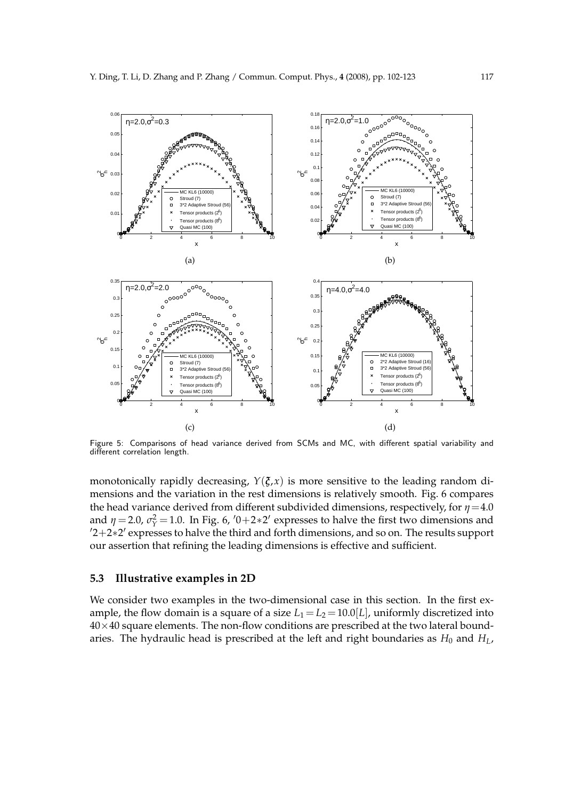

Figure 5: Comparisons of head variance derived from SCMs and MC, with different spatial variability and different correlation length.

monotonically rapidly decreasing,  $Y(\xi, x)$  is more sensitive to the leading random dimensions and the variation in the rest dimensions is relatively smooth. Fig. 6 compares the head variance derived from different subdivided dimensions, respectively, for  $\eta$  = 4.0 and  $\eta = 2.0$ ,  $\sigma_Y^2 = 1.0$ . In Fig. 6,  $\prime 0 + 2 * 2'$  expresses to halve the first two dimensions and ′2+2∗2 ′ expresses to halve the third and forth dimensions, and so on. The results support our assertion that refining the leading dimensions is effective and sufficient.

#### **5.3 Illustrative examples in 2D**

We consider two examples in the two-dimensional case in this section. In the first example, the flow domain is a square of a size  $L_1 = L_2 = 10.0[L]$ , uniformly discretized into  $40\times40$  square elements. The non-flow conditions are prescribed at the two lateral boundaries. The hydraulic head is prescribed at the left and right boundaries as  $H_0$  and  $H_L$ ,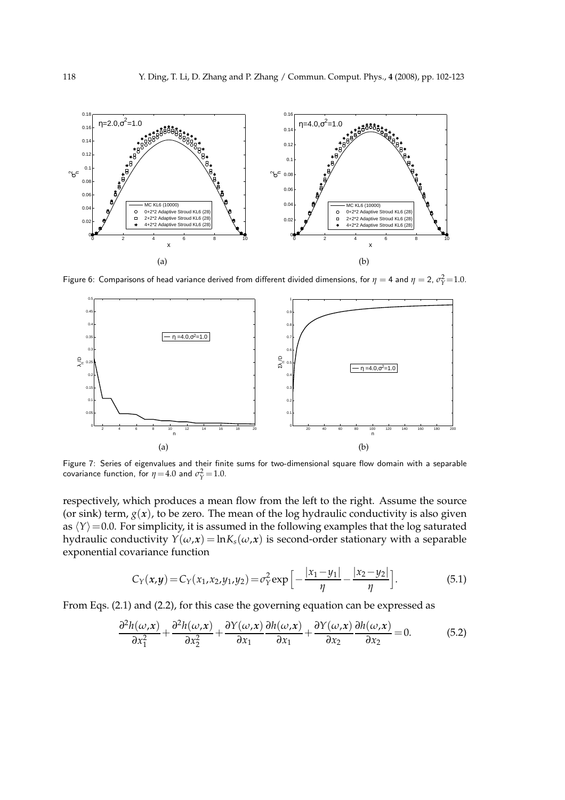

Figure 6: Comparisons of head variance derived from different divided dimensions, for  $\eta=$  4 and  $\eta=$  2,  $\sigma_Y^2$ =1.0.



Figure 7: Series of eigenvalues and their finite sums for two-dimensional square flow domain with a separable covariance function, for  $\eta = 4.0$  and  $\sigma_Y^2 = 1.0$ .

respectively, which produces a mean flow from the left to the right. Assume the source (or sink) term,  $g(x)$ , to be zero. The mean of the log hydraulic conductivity is also given as  $\langle Y \rangle$  =0.0. For simplicity, it is assumed in the following examples that the log saturated hydraulic conductivity  $Y(\omega, x) = \ln K_s(\omega, x)$  is second-order stationary with a separable exponential covariance function

$$
C_Y(x,y) = C_Y(x_1,x_2,y_1,y_2) = \sigma_Y^2 \exp\left[-\frac{|x_1-y_1|}{\eta} - \frac{|x_2-y_2|}{\eta}\right].
$$
 (5.1)

From Eqs. (2.1) and (2.2), for this case the governing equation can be expressed as

$$
\frac{\partial^2 h(\omega, x)}{\partial x_1^2} + \frac{\partial^2 h(\omega, x)}{\partial x_2^2} + \frac{\partial Y(\omega, x)}{\partial x_1} \frac{\partial h(\omega, x)}{\partial x_1} + \frac{\partial Y(\omega, x)}{\partial x_2} \frac{\partial h(\omega, x)}{\partial x_2} = 0.
$$
 (5.2)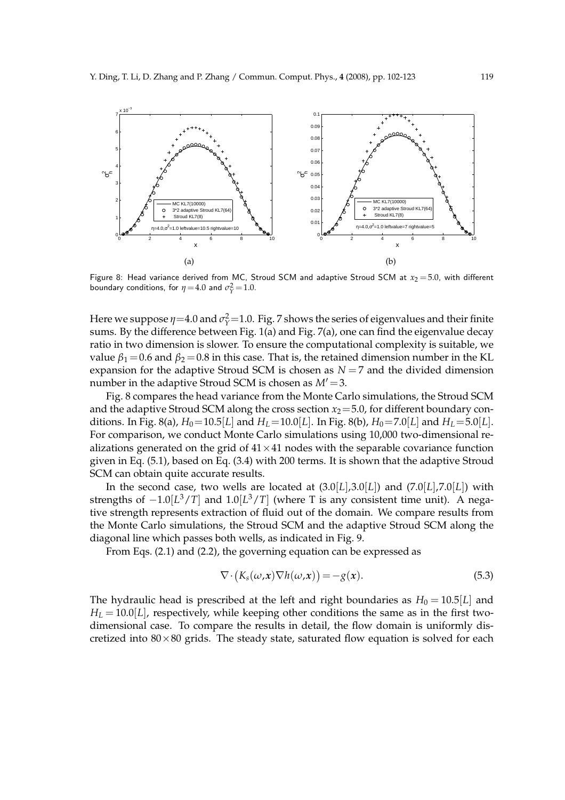

Figure 8: Head variance derived from MC, Stroud SCM and adaptive Stroud SCM at  $x_2 = 5.0$ , with different boundary conditions, for  $\eta = 4.0$  and  $\sigma_Y^2 = 1.0$ .

Here we suppose  $\eta$  =4.0 and  $\sigma_{\gamma}^2$  =1.0. Fig. 7 shows the series of eigenvalues and their finite sums. By the difference between Fig. 1(a) and Fig. 7(a), one can find the eigenvalue decay ratio in two dimension is slower. To ensure the computational complexity is suitable, we value  $\beta_1 = 0.6$  and  $\beta_2 = 0.8$  in this case. That is, the retained dimension number in the KL expansion for the adaptive Stroud SCM is chosen as  $N = 7$  and the divided dimension number in the adaptive Stroud SCM is chosen as *M*′ =3.

Fig. 8 compares the head variance from the Monte Carlo simulations, the Stroud SCM and the adaptive Stroud SCM along the cross section  $x_2 = 5.0$ , for different boundary conditions. In Fig. 8(a),  $H_0 = 10.5[L]$  and  $H_L = 10.0[L]$ . In Fig. 8(b),  $H_0 = 7.0[L]$  and  $H_L = 5.0[L]$ . For comparison, we conduct Monte Carlo simulations using 10,000 two-dimensional realizations generated on the grid of  $41 \times 41$  nodes with the separable covariance function given in Eq. (5.1), based on Eq. (3.4) with 200 terms. It is shown that the adaptive Stroud SCM can obtain quite accurate results.

In the second case, two wells are located at  $(3.0|L|,3.0|L|)$  and  $(7.0|L|,7.0|L|)$  with strengths of  $-1.0[L^3/T]$  and  $1.0[L^3/T]$  (where T is any consistent time unit). A negative strength represents extraction of fluid out of the domain. We compare results from the Monte Carlo simulations, the Stroud SCM and the adaptive Stroud SCM along the diagonal line which passes both wells, as indicated in Fig. 9.

From Eqs. (2.1) and (2.2), the governing equation can be expressed as

$$
\nabla \cdot (K_s(\omega, x) \nabla h(\omega, x)) = -g(x). \tag{5.3}
$$

The hydraulic head is prescribed at the left and right boundaries as  $H_0 = 10.5[L]$  and  $H_L = 10.0|L|$ , respectively, while keeping other conditions the same as in the first twodimensional case. To compare the results in detail, the flow domain is uniformly discretized into  $80 \times 80$  grids. The steady state, saturated flow equation is solved for each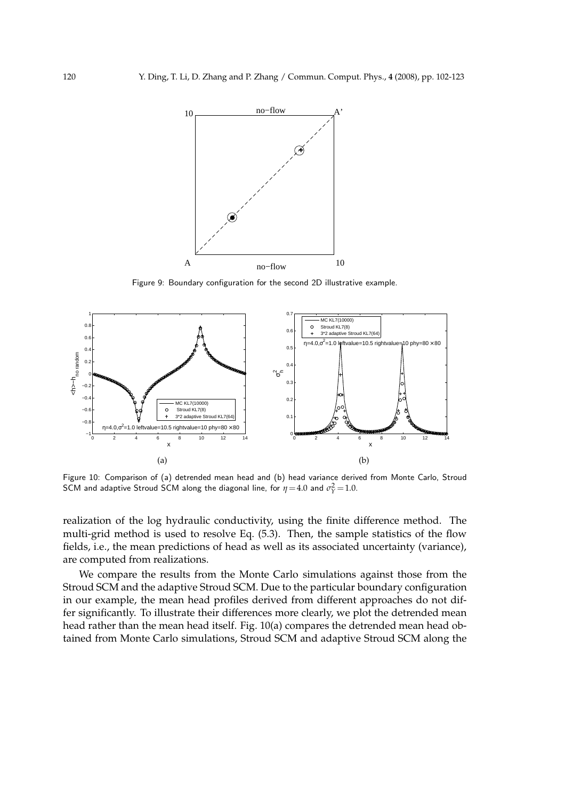

Figure 9: Boundary configuration for the second 2D illustrative example.



Figure 10: Comparison of (a) detrended mean head and (b) head variance derived from Monte Carlo, Stroud SCM and adaptive Stroud SCM along the diagonal line, for  $\eta$  = 4.0 and  $\sigma_{\Upsilon}^2$  = 1.0.

realization of the log hydraulic conductivity, using the finite difference method. The multi-grid method is used to resolve Eq. (5.3). Then, the sample statistics of the flow fields, i.e., the mean predictions of head as well as its associated uncertainty (variance), are computed from realizations.

We compare the results from the Monte Carlo simulations against those from the Stroud SCM and the adaptive Stroud SCM. Due to the particular boundary configuration in our example, the mean head profiles derived from different approaches do not differ significantly. To illustrate their differences more clearly, we plot the detrended mean head rather than the mean head itself. Fig. 10(a) compares the detrended mean head obtained from Monte Carlo simulations, Stroud SCM and adaptive Stroud SCM along the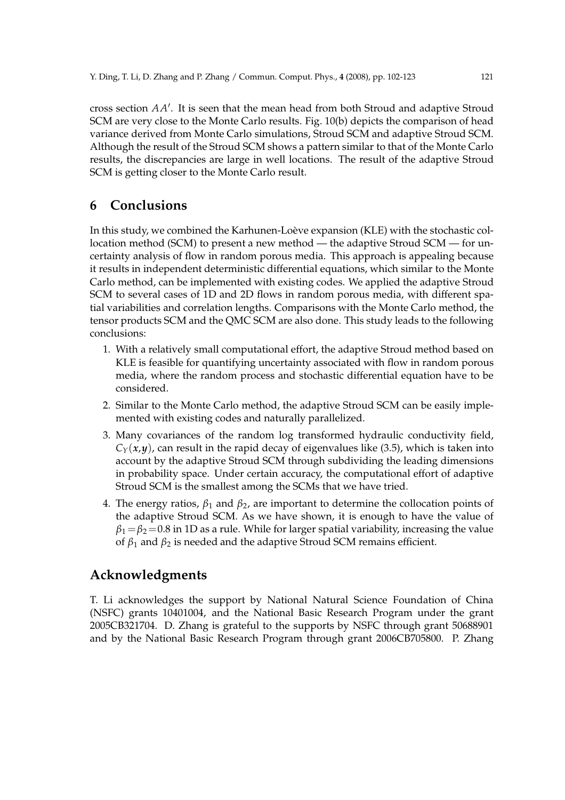cross section *AA*′ . It is seen that the mean head from both Stroud and adaptive Stroud SCM are very close to the Monte Carlo results. Fig. 10(b) depicts the comparison of head variance derived from Monte Carlo simulations, Stroud SCM and adaptive Stroud SCM. Although the result of the Stroud SCM shows a pattern similar to that of the Monte Carlo results, the discrepancies are large in well locations. The result of the adaptive Stroud SCM is getting closer to the Monte Carlo result.

# **6 Conclusions**

In this study, we combined the Karhunen-Loève expansion (KLE) with the stochastic collocation method (SCM) to present a new method — the adaptive Stroud SCM — for uncertainty analysis of flow in random porous media. This approach is appealing because it results in independent deterministic differential equations, which similar to the Monte Carlo method, can be implemented with existing codes. We applied the adaptive Stroud SCM to several cases of 1D and 2D flows in random porous media, with different spatial variabilities and correlation lengths. Comparisons with the Monte Carlo method, the tensor products SCM and the QMC SCM are also done. This study leads to the following conclusions:

- 1. With a relatively small computational effort, the adaptive Stroud method based on KLE is feasible for quantifying uncertainty associated with flow in random porous media, where the random process and stochastic differential equation have to be considered.
- 2. Similar to the Monte Carlo method, the adaptive Stroud SCM can be easily implemented with existing codes and naturally parallelized.
- 3. Many covariances of the random log transformed hydraulic conductivity field,  $C_Y(x, y)$ , can result in the rapid decay of eigenvalues like (3.5), which is taken into account by the adaptive Stroud SCM through subdividing the leading dimensions in probability space. Under certain accuracy, the computational effort of adaptive Stroud SCM is the smallest among the SCMs that we have tried.
- 4. The energy ratios,  $\beta_1$  and  $\beta_2$ , are important to determine the collocation points of the adaptive Stroud SCM. As we have shown, it is enough to have the value of  $\beta_1=\beta_2=0.8$  in 1D as a rule. While for larger spatial variability, increasing the value of  $β_1$  and  $β_2$  is needed and the adaptive Stroud SCM remains efficient.

## **Acknowledgments**

T. Li acknowledges the support by National Natural Science Foundation of China (NSFC) grants 10401004, and the National Basic Research Program under the grant 2005CB321704. D. Zhang is grateful to the supports by NSFC through grant 50688901 and by the National Basic Research Program through grant 2006CB705800. P. Zhang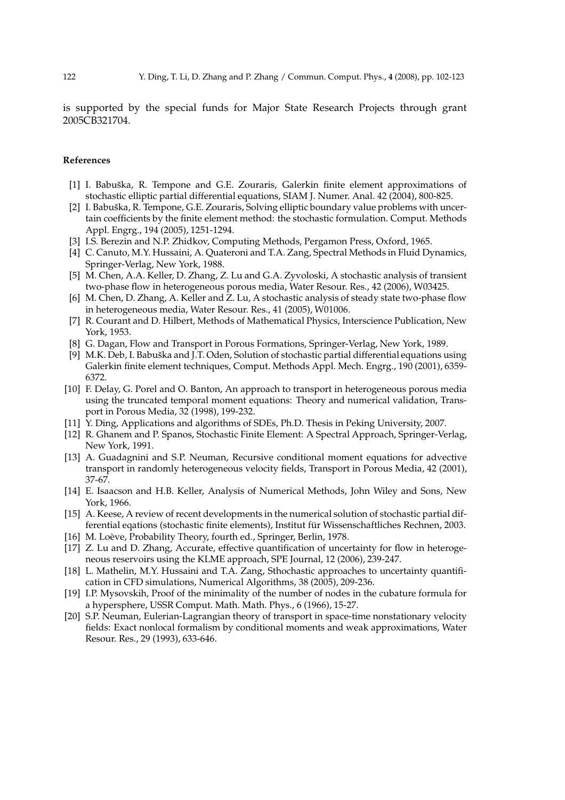is supported by the special funds for Major State Research Projects through grant 2005CB321704.

#### **References**

- [1] I. Babuška, R. Tempone and G.E. Zouraris, Galerkin finite element approximations of stochastic elliptic partial differential equations, SIAM J. Numer. Anal. 42 (2004), 800-825.
- [2] I. Babuška, R. Tempone, G.E. Zouraris, Solving elliptic boundary value problems with uncertain coefficients by the finite element method: the stochastic formulation. Comput. Methods Appl. Engrg., 194 (2005), 1251-1294.
- [3] I.S. Berezin and N.P. Zhidkov, Computing Methods, Pergamon Press, Oxford, 1965.
- [4] C. Canuto, M.Y. Hussaini, A. Quateroni and T.A. Zang, Spectral Methods in Fluid Dynamics, Springer-Verlag, New York, 1988.
- [5] M. Chen, A.A. Keller, D. Zhang, Z. Lu and G.A. Zyvoloski, A stochastic analysis of transient two-phase flow in heterogeneous porous media, Water Resour. Res., 42 (2006), W03425.
- [6] M. Chen, D. Zhang, A. Keller and Z. Lu, A stochastic analysis of steady state two-phase flow in heterogeneous media, Water Resour. Res., 41 (2005), W01006.
- [7] R. Courant and D. Hilbert, Methods of Mathematical Physics, Interscience Publication, New York, 1953.
- [8] G. Dagan, Flow and Transport in Porous Formations, Springer-Verlag, New York, 1989.
- [9] M.K. Deb, I. Babuška and J.T. Oden, Solution of stochastic partial differential equations using Galerkin finite element techniques, Comput. Methods Appl. Mech. Engrg., 190 (2001), 6359- 6372.
- [10] F. Delay, G. Porel and O. Banton, An approach to transport in heterogeneous porous media using the truncated temporal moment equations: Theory and numerical validation, Transport in Porous Media, 32 (1998), 199-232.
- [11] Y. Ding, Applications and algorithms of SDEs, Ph.D. Thesis in Peking University, 2007.
- [12] R. Ghanem and P. Spanos, Stochastic Finite Element: A Spectral Approach, Springer-Verlag, New York, 1991.
- [13] A. Guadagnini and S.P. Neuman, Recursive conditional moment equations for advective transport in randomly heterogeneous velocity fields, Transport in Porous Media, 42 (2001), 37-67.
- [14] E. Isaacson and H.B. Keller, Analysis of Numerical Methods, John Wiley and Sons, New York, 1966.
- [15] A. Keese, A review of recent developments in the numerical solution of stochastic partial differential eqations (stochastic finite elements), Institut für Wissenschaftliches Rechnen, 2003.
- [16] M. Loève, Probability Theory, fourth ed., Springer, Berlin, 1978.
- [17] Z. Lu and D. Zhang, Accurate, effective quantification of uncertainty for flow in heterogeneous reservoirs using the KLME approach, SPE Journal, 12 (2006), 239-247.
- [18] L. Mathelin, M.Y. Hussaini and T.A. Zang, Sthochastic approaches to uncertainty quantification in CFD simulations, Numerical Algorithms, 38 (2005), 209-236.
- [19] I.P. Mysovskih, Proof of the minimality of the number of nodes in the cubature formula for a hypersphere, USSR Comput. Math. Math. Phys., 6 (1966), 15-27.
- [20] S.P. Neuman, Eulerian-Lagrangian theory of transport in space-time nonstationary velocity fields: Exact nonlocal formalism by conditional moments and weak approximations, Water Resour. Res., 29 (1993), 633-646.